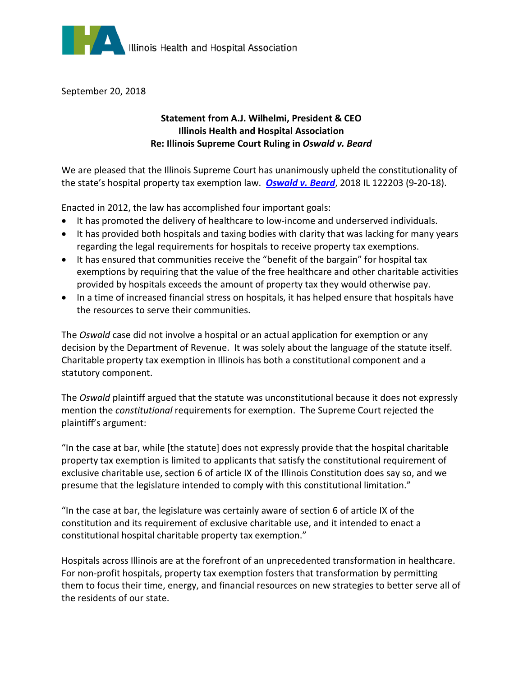

September 20, 2018

## **Statement from A.J. Wilhelmi, President & CEO Illinois Health and Hospital Association Re: Illinois Supreme Court Ruling in** *Oswald v. Beard*

We are pleased that the Illinois Supreme Court has unanimously upheld the constitutionality of the state's hospital property tax exemption law. *[Oswald v. Beard](http://www.illinoiscourts.gov/Opinions/SupremeCourt/2018/122203.pdf)*, 2018 IL 122203 (9-20-18).

Enacted in 2012, the law has accomplished four important goals:

- It has promoted the delivery of healthcare to low-income and underserved individuals.
- It has provided both hospitals and taxing bodies with clarity that was lacking for many years regarding the legal requirements for hospitals to receive property tax exemptions.
- It has ensured that communities receive the "benefit of the bargain" for hospital tax exemptions by requiring that the value of the free healthcare and other charitable activities provided by hospitals exceeds the amount of property tax they would otherwise pay.
- In a time of increased financial stress on hospitals, it has helped ensure that hospitals have the resources to serve their communities.

The *Oswald* case did not involve a hospital or an actual application for exemption or any decision by the Department of Revenue. It was solely about the language of the statute itself. Charitable property tax exemption in Illinois has both a constitutional component and a statutory component.

The *Oswald* plaintiff argued that the statute was unconstitutional because it does not expressly mention the *constitutional* requirements for exemption. The Supreme Court rejected the plaintiff's argument:

"In the case at bar, while [the statute] does not expressly provide that the hospital charitable property tax exemption is limited to applicants that satisfy the constitutional requirement of exclusive charitable use, section 6 of article IX of the Illinois Constitution does say so, and we presume that the legislature intended to comply with this constitutional limitation."

"In the case at bar, the legislature was certainly aware of section 6 of article IX of the constitution and its requirement of exclusive charitable use, and it intended to enact a constitutional hospital charitable property tax exemption."

Hospitals across Illinois are at the forefront of an unprecedented transformation in healthcare. For non-profit hospitals, property tax exemption fosters that transformation by permitting them to focus their time, energy, and financial resources on new strategies to better serve all of the residents of our state.